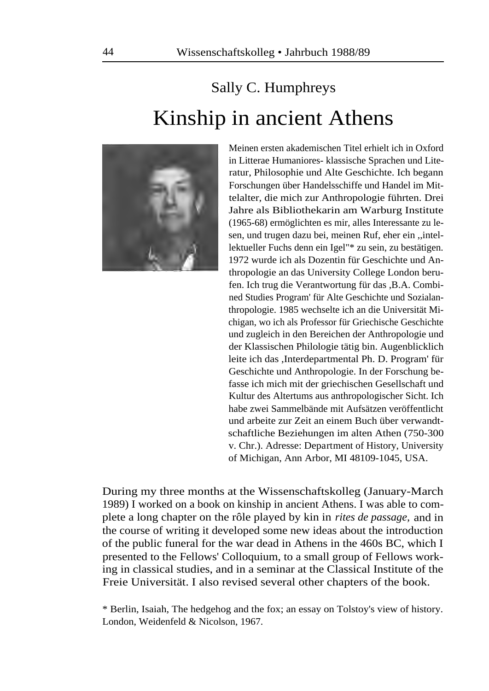## Sally C. Humphreys Kinship in ancient Athens



Meinen ersten akademischen Titel erhielt ich in Oxford in Litterae Humaniores- klassische Sprachen und Literatur, Philosophie und Alte Geschichte. Ich begann Forschungen über Handelsschiffe und Handel im Mittelalter, die mich zur Anthropologie führten. Drei Jahre als Bibliothekarin am Warburg Institute (1965-68) ermöglichten es mir, alles Interessante zu lesen, und trugen dazu bei, meinen Ruf, eher ein ,,intellektueller Fuchs denn ein Igel"\* zu sein, zu bestätigen. 1972 wurde ich als Dozentin für Geschichte und Anthropologie an das University College London berufen. Ich trug die Verantwortung für das ,B.A. Combined Studies Program' für Alte Geschichte und Sozialanthropologie. 1985 wechselte ich an die Universität Michigan, wo ich als Professor für Griechische Geschichte und zugleich in den Bereichen der Anthropologie und der Klassischen Philologie tätig bin. Augenblicklich leite ich das ,Interdepartmental Ph. D. Program' für Geschichte und Anthropologie. In der Forschung befasse ich mich mit der griechischen Gesellschaft und Kultur des Altertums aus anthropologischer Sicht. Ich habe zwei Sammelbände mit Aufsätzen veröffentlicht und arbeite zur Zeit an einem Buch über verwandtschaftliche Beziehungen im alten Athen (750-300 v. Chr.). Adresse: Department of History, University of Michigan, Ann Arbor, MI 48109-1045, USA.

During my three months at the Wissenschaftskolleg (January-March 1989) I worked on a book on kinship in ancient Athens. I was able to complete a long chapter on the rôle played by kin in *rites de passage,* and in the course of writing it developed some new ideas about the introduction of the public funeral for the war dead in Athens in the 460s BC, which I presented to the Fellows' Colloquium, to a small group of Fellows working in classical studies, and in a seminar at the Classical Institute of the Freie Universität. I also revised several other chapters of the book.

\* Berlin, Isaiah, The hedgehog and the fox; an essay on Tolstoy's view of history. London, Weidenfeld & Nicolson, 1967.